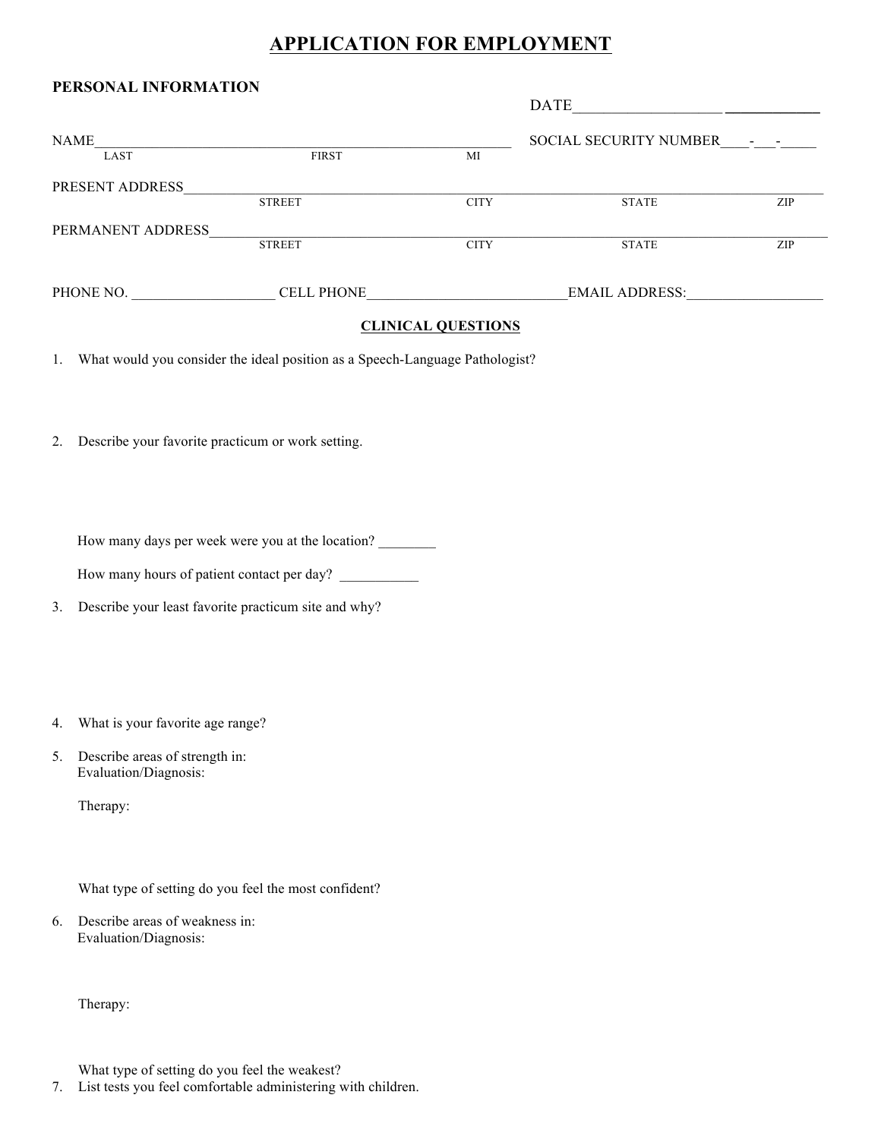## **APPLICATION FOR EMPLOYMENT**

| PERSONAL INFORMATION |                   |             |                               |     |
|----------------------|-------------------|-------------|-------------------------------|-----|
|                      |                   |             | <b>DATE</b>                   |     |
| <b>NAME</b>          |                   |             | <b>SOCIAL SECURITY NUMBER</b> |     |
| LAST                 | <b>FIRST</b>      | MI          |                               |     |
| PRESENT ADDRESS      |                   |             |                               |     |
|                      | <b>STREET</b>     | <b>CITY</b> | <b>STATE</b>                  | ZIP |
| PERMANENT ADDRESS    |                   |             |                               |     |
|                      | <b>STREET</b>     | <b>CITY</b> | <b>STATE</b>                  | ZIP |
|                      |                   |             |                               |     |
| PHONE NO.            | <b>CELL PHONE</b> |             | <b>EMAIL ADDRESS:</b>         |     |

## **CLINICAL QUESTIONS**

1. What would you consider the ideal position as a Speech-Language Pathologist?

2. Describe your favorite practicum or work setting.

How many days per week were you at the location?

How many hours of patient contact per day?

3. Describe your least favorite practicum site and why?

- 4. What is your favorite age range?
- 5. Describe areas of strength in: Evaluation/Diagnosis:

Therapy:

What type of setting do you feel the most confident?

6. Describe areas of weakness in: Evaluation/Diagnosis:

Therapy:

What type of setting do you feel the weakest?

7. List tests you feel comfortable administering with children.